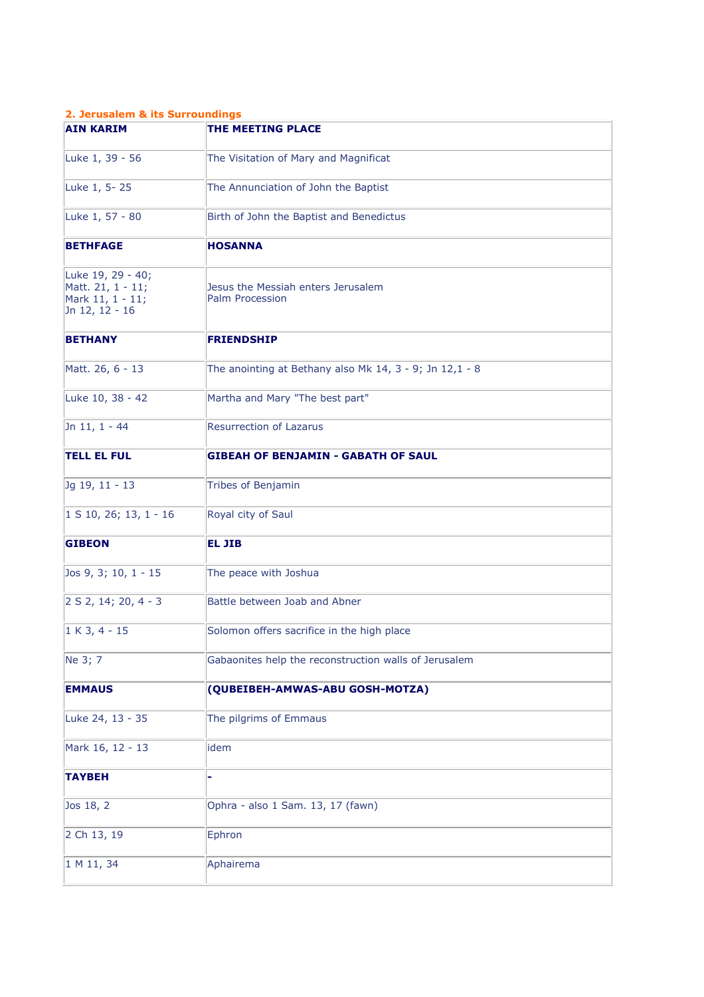## **2. Jerusalem & its Surroundings**

| <b>AIN KARIM</b>                                                             | THE MEETING PLACE                                                   |
|------------------------------------------------------------------------------|---------------------------------------------------------------------|
| Luke 1, 39 - 56                                                              | The Visitation of Mary and Magnificat                               |
| Luke 1, 5-25                                                                 | The Annunciation of John the Baptist                                |
| Luke 1, 57 - 80                                                              | Birth of John the Baptist and Benedictus                            |
| <b>BETHFAGE</b>                                                              | <b>HOSANNA</b>                                                      |
| Luke 19, 29 - 40;<br>Matt. 21, 1 - 11;<br>Mark 11, 1 - 11;<br>Jn 12, 12 - 16 | Jesus the Messiah enters Jerusalem<br>Palm Procession               |
| <b>BETHANY</b>                                                               | <b>FRIENDSHIP</b>                                                   |
| Matt. 26, 6 - 13                                                             | The anointing at Bethany also Mk $14$ , $3 - 9$ ; Jn $12$ , $1 - 8$ |
| Luke 10, 38 - 42                                                             | Martha and Mary "The best part"                                     |
| Jn 11, 1 - 44                                                                | <b>Resurrection of Lazarus</b>                                      |
| <b>TELL EL FUL</b>                                                           | <b>GIBEAH OF BENJAMIN - GABATH OF SAUL</b>                          |
| Jg 19, 11 - 13                                                               | Tribes of Benjamin                                                  |
| $ 1 S 10, 26; 13, 1 - 16$                                                    | Royal city of Saul                                                  |
| <b>GIBEON</b>                                                                | <b>EL JIB</b>                                                       |
| Jos 9, 3; 10, 1 - 15                                                         | The peace with Joshua                                               |
| 2 S 2, 14; 20, 4 - 3                                                         | Battle between Joab and Abner                                       |
| $1 K 3, 4 - 15$                                                              | Solomon offers sacrifice in the high place                          |
| Ne 3; 7                                                                      | Gabaonites help the reconstruction walls of Jerusalem               |
| <b>EMMAUS</b>                                                                | (QUBEIBEH-AMWAS-ABU GOSH-MOTZA)                                     |
| Luke 24, 13 - 35                                                             | The pilgrims of Emmaus                                              |
| Mark 16, 12 - 13                                                             | idem                                                                |
| <b>TAYBEH</b>                                                                |                                                                     |
| Jos 18, 2                                                                    | Ophra - also 1 Sam. 13, 17 (fawn)                                   |
| 2 Ch 13, 19                                                                  | Ephron                                                              |
| 1 M 11, 34                                                                   | Aphairema                                                           |